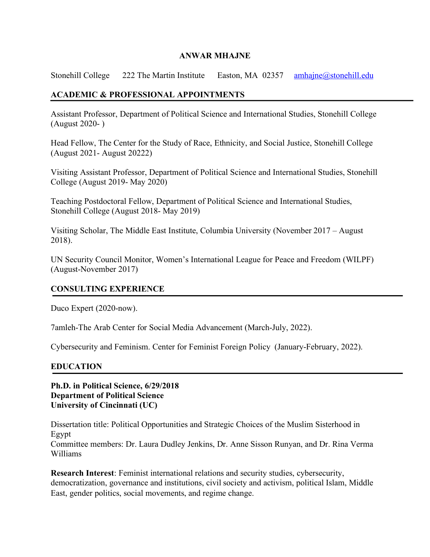### **ANWAR MHAJNE**

Stonehill College 222 The Martin Institute Easton, MA 02357 amhajne@stonehill.edu

## **ACADEMIC & PROFESSIONAL APPOINTMENTS**

Assistant Professor, Department of Political Science and International Studies, Stonehill College (August 2020- )

Head Fellow, The Center for the Study of Race, Ethnicity, and Social Justice, Stonehill College (August 2021- August 20222)

Visiting Assistant Professor, Department of Political Science and International Studies, Stonehill College (August 2019- May 2020)

Teaching Postdoctoral Fellow, Department of Political Science and International Studies, Stonehill College (August 2018- May 2019)

Visiting Scholar, The Middle East Institute, Columbia University (November 2017 – August 2018).

UN Security Council Monitor, Women's International League for Peace and Freedom (WILPF) (August-November 2017)

### **CONSULTING EXPERIENCE**

Duco Expert (2020-now).

7amleh-The Arab Center for Social Media Advancement (March-July, 2022).

Cybersecurity and Feminism. Center for Feminist Foreign Policy (January-February, 2022).

### **EDUCATION**

### **Ph.D. in Political Science, 6/29/2018 Department of Political Science University of Cincinnati (UC)**

Dissertation title: Political Opportunities and Strategic Choices of the Muslim Sisterhood in Egypt Committee members: Dr. Laura Dudley Jenkins, Dr. Anne Sisson Runyan, and Dr. Rina Verma Williams

**Research Interest**: Feminist international relations and security studies, cybersecurity, democratization, governance and institutions, civil society and activism, political Islam, Middle East, gender politics, social movements, and regime change.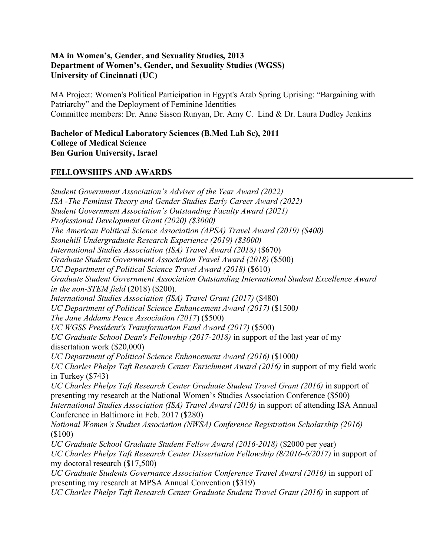## **MA in Women's, Gender, and Sexuality Studies, 2013 Department of Women's, Gender, and Sexuality Studies (WGSS) University of Cincinnati (UC)**

MA Project: Women's Political Participation in Egypt's Arab Spring Uprising: "Bargaining with Patriarchy" and the Deployment of Feminine Identities Committee members: Dr. Anne Sisson Runyan, Dr. Amy C. Lind & Dr. Laura Dudley Jenkins

**Bachelor of Medical Laboratory Sciences (B.Med Lab Sc), 2011 College of Medical Science Ben Gurion University, Israel** 

## **FELLOWSHIPS AND AWARDS**

*Student Government Association's Adviser of the Year Award (2022) ISA -The Feminist Theory and Gender Studies Early Career Award (2022) Student Government Association's Outstanding Faculty Award (2021) Professional Development Grant (2020) (\$3000) The American Political Science Association (APSA) Travel Award (2019) (\$400) Stonehill Undergraduate Research Experience (2019) (\$3000) International Studies Association (ISA) Travel Award (2018)* (\$670) *Graduate Student Government Association Travel Award (2018)* (\$500) *UC Department of Political Science Travel Award (2018)* (\$610) *Graduate Student Government Association Outstanding International Student Excellence Award in the non-STEM field* (2018) (\$200). *International Studies Association (ISA) Travel Grant (2017)* (\$480) *UC Department of Political Science Enhancement Award (2017)* (\$1500*) The Jane Addams Peace Association (2017*) (\$500) *UC WGSS President's Transformation Fund Award (2017)* (\$500) *UC Graduate School Dean's Fellowship (2017-2018)* in support of the last year of my dissertation work (\$20,000) *UC Department of Political Science Enhancement Award (2016)* (\$1000*) UC Charles Phelps Taft Research Center Enrichment Award (2016)* in support of my field work in Turkey (\$743) *UC Charles Phelps Taft Research Center Graduate Student Travel Grant (2016)* in support of presenting my research at the National Women's Studies Association Conference (\$500) *International Studies Association (ISA) Travel Award (2016)* in support of attending ISA Annual Conference in Baltimore in Feb. 2017 (\$280) *National Women's Studies Association (NWSA) Conference Registration Scholarship (2016)* (\$100) *UC Graduate School Graduate Student Fellow Award (2016-2018)* (\$2000 per year) *UC Charles Phelps Taft Research Center Dissertation Fellowship (8/2016-6/2017)* in support of my doctoral research (\$17,500) *UC Graduate Students Governance Association Conference Travel Award (2016)* in support of presenting my research at MPSA Annual Convention (\$319) *UC Charles Phelps Taft Research Center Graduate Student Travel Grant (2016)* in support of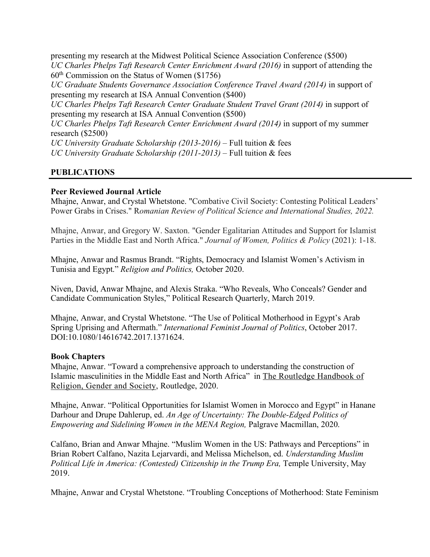presenting my research at the Midwest Political Science Association Conference (\$500) *UC Charles Phelps Taft Research Center Enrichment Award (2016)* in support of attending the  $60<sup>th</sup>$  Commission on the Status of Women (\$1756)

*UC Graduate Students Governance Association Conference Travel Award (2014)* in support of presenting my research at ISA Annual Convention (\$400)

*UC Charles Phelps Taft Research Center Graduate Student Travel Grant (2014)* in support of presenting my research at ISA Annual Convention (\$500)

*UC Charles Phelps Taft Research Center Enrichment Award (2014)* in support of my summer research (\$2500)

*UC University Graduate Scholarship (2013-2016)* – Full tuition & fees *UC University Graduate Scholarship (2011-2013)* – Full tuition & fees

## **PUBLICATIONS**

### **Peer Reviewed Journal Article**

Mhajne, Anwar, and Crystal Whetstone. "Combative Civil Society: Contesting Political Leaders' Power Grabs in Crises." R*omanian Review of Political Science and International Studies, 2022.*

Mhajne, Anwar, and Gregory W. Saxton. "Gender Egalitarian Attitudes and Support for Islamist Parties in the Middle East and North Africa." *Journal of Women, Politics & Policy* (2021): 1-18.

Mhajne, Anwar and Rasmus Brandt. "Rights, Democracy and Islamist Women's Activism in Tunisia and Egypt." *Religion and Politics,* October 2020.

Niven, David, Anwar Mhajne, and Alexis Straka. "Who Reveals, Who Conceals? Gender and Candidate Communication Styles," Political Research Quarterly, March 2019.

Mhajne, Anwar, and Crystal Whetstone. "The Use of Political Motherhood in Egypt's Arab Spring Uprising and Aftermath." *International Feminist Journal of Politics*, October 2017. DOI:10.1080/14616742.2017.1371624.

### **Book Chapters**

Mhajne, Anwar. "Toward a comprehensive approach to understanding the construction of Islamic masculinities in the Middle East and North Africa" in The Routledge Handbook of Religion, Gender and Society, Routledge, 2020.

Mhajne, Anwar. "Political Opportunities for Islamist Women in Morocco and Egypt" in Hanane Darhour and Drupe Dahlerup, ed. *An Age of Uncertainty: The Double-Edged Politics of Empowering and Sidelining Women in the MENA Region,* Palgrave Macmillan, 2020.

Calfano, Brian and Anwar Mhajne. "Muslim Women in the US: Pathways and Perceptions" in Brian Robert Calfano, Nazita Lejarvardi, and Melissa Michelson, ed. *Understanding Muslim Political Life in America: (Contested) Citizenship in the Trump Era, Temple University, May* 2019.

Mhajne, Anwar and Crystal Whetstone. "Troubling Conceptions of Motherhood: State Feminism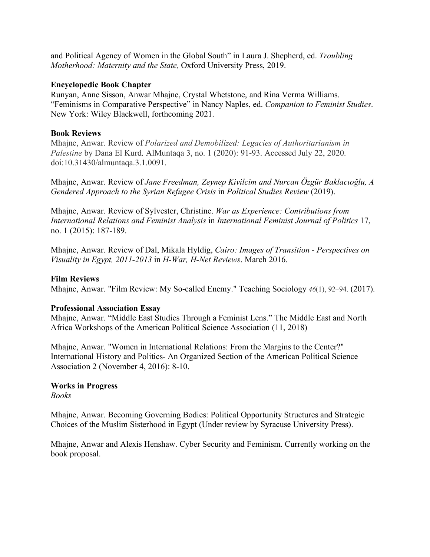and Political Agency of Women in the Global South" in Laura J. Shepherd, ed. *Troubling Motherhood: Maternity and the State,* Oxford University Press, 2019.

### **Encyclopedic Book Chapter**

Runyan, Anne Sisson, Anwar Mhajne, Crystal Whetstone, and Rina Verma Williams. "Feminisms in Comparative Perspective" in Nancy Naples, ed. *Companion to Feminist Studies*. New York: Wiley Blackwell, forthcoming 2021.

## **Book Reviews**

Mhajne, Anwar. Review of *Polarized and Demobilized: Legacies of Authoritarianism in Palestine* by Dana El Kurd. AlMuntaqa 3, no. 1 (2020): 91-93. Accessed July 22, 2020. doi:10.31430/almuntaqa.3.1.0091.

Mhajne, Anwar. Review of *Jane Freedman, Zeynep Kivilcim and Nurcan Özgür Baklacıoğlu, A Gendered Approach to the Syrian Refugee Crisis* in *Political Studies Review* (2019).

Mhajne, Anwar. Review of Sylvester, Christine. *War as Experience: Contributions from International Relations and Feminist Analysis* in *International Feminist Journal of Politics* 17, no. 1 (2015): 187-189.

Mhajne, Anwar. Review of Dal, Mikala Hyldig, *Cairo: Images of Transition - Perspectives on Visuality in Egypt, 2011-2013* in *H-War, H-Net Reviews*. March 2016.

### **Film Reviews**

Mhajne, Anwar. "Film Review: My So-called Enemy." Teaching Sociology *46*(1), 92–94. (2017).

### **Professional Association Essay**

Mhajne, Anwar. "Middle East Studies Through a Feminist Lens." The Middle East and North Africa Workshops of the American Political Science Association (11, 2018)

Mhajne, Anwar. "Women in International Relations: From the Margins to the Center?" International History and Politics- An Organized Section of the American Political Science Association 2 (November 4, 2016): 8-10.

### **Works in Progress**

*Books*

Mhajne, Anwar. Becoming Governing Bodies: Political Opportunity Structures and Strategic Choices of the Muslim Sisterhood in Egypt (Under review by Syracuse University Press).

Mhajne, Anwar and Alexis Henshaw. Cyber Security and Feminism. Currently working on the book proposal.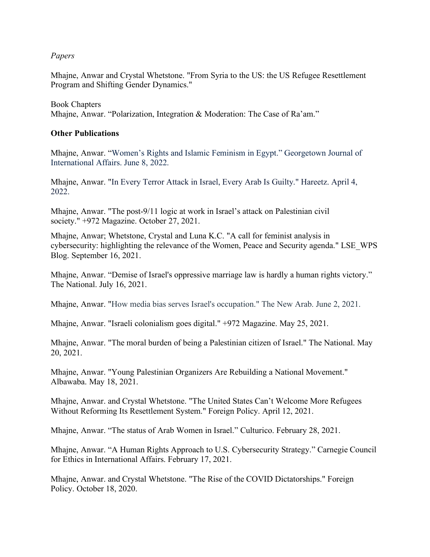*Papers*

Mhajne, Anwar and Crystal Whetstone. "From Syria to the US: the US Refugee Resettlement Program and Shifting Gender Dynamics."

Book Chapters Mhajne, Anwar. "Polarization, Integration & Moderation: The Case of Ra'am."

### **Other Publications**

Mhajne, Anwar. "Women's Rights and Islamic Feminism in Egypt." Georgetown Journal of International Affairs. June 8, 2022.

Mhajne, Anwar. "In Every Terror Attack in Israel, Every Arab Is Guilty." Hareetz. April 4, 2022.

Mhajne, Anwar. "The post-9/11 logic at work in Israel's attack on Palestinian civil society." +972 Magazine. October 27, 2021.

Mhajne, Anwar; Whetstone, Crystal and Luna K.C. "A call for feminist analysis in cybersecurity: highlighting the relevance of the Women, Peace and Security agenda." LSE\_WPS Blog. September 16, 2021.

Mhajne, Anwar. "Demise of Israel's oppressive marriage law is hardly a human rights victory." The National. July 16, 2021.

Mhajne, Anwar. "How media bias serves Israel's occupation." The New Arab. June 2, 2021.

Mhajne, Anwar. "Israeli colonialism goes digital." +972 Magazine. May 25, 2021.

Mhajne, Anwar. "The moral burden of being a Palestinian citizen of Israel." The National. May 20, 2021.

Mhajne, Anwar. "Young Palestinian Organizers Are Rebuilding a National Movement." Albawaba. May 18, 2021.

Mhajne, Anwar. and Crystal Whetstone. "The United States Can't Welcome More Refugees Without Reforming Its Resettlement System." Foreign Policy. April 12, 2021.

Mhajne, Anwar. "The status of Arab Women in Israel." Culturico. February 28, 2021.

Mhajne, Anwar. "A Human Rights Approach to U.S. Cybersecurity Strategy." Carnegie Council for Ethics in International Affairs. February 17, 2021.

Mhajne, Anwar. and Crystal Whetstone. "The Rise of the COVID Dictatorships." Foreign Policy. October 18, 2020.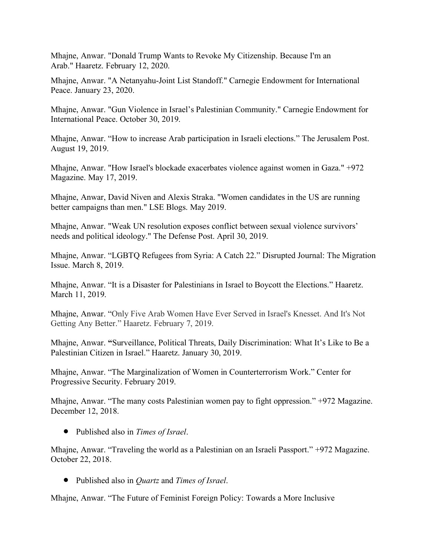Mhajne, Anwar. "Donald Trump Wants to Revoke My Citizenship. Because I'm an Arab." Haaretz. February 12, 2020.

Mhajne, Anwar. "A Netanyahu-Joint List Standoff." Carnegie Endowment for International Peace. January 23, 2020.

Mhajne, Anwar. "Gun Violence in Israel's Palestinian Community." Carnegie Endowment for International Peace. October 30, 2019.

Mhajne, Anwar. "How to increase Arab participation in Israeli elections." The Jerusalem Post. August 19, 2019.

Mhajne, Anwar. "How Israel's blockade exacerbates violence against women in Gaza." +972 Magazine. May 17, 2019.

Mhajne, Anwar, David Niven and Alexis Straka. "Women candidates in the US are running better campaigns than men." LSE Blogs. May 2019.

Mhajne, Anwar. "Weak UN resolution exposes conflict between sexual violence survivors' needs and political ideology." The Defense Post. April 30, 2019.

Mhajne, Anwar. "LGBTQ Refugees from Syria: A Catch 22." Disrupted Journal: The Migration Issue. March 8, 2019.

Mhajne, Anwar. "It is a Disaster for Palestinians in Israel to Boycott the Elections." Haaretz. March 11, 2019.

Mhajne, Anwar. "Only Five Arab Women Have Ever Served in Israel's Knesset. And It's Not Getting Any Better." Haaretz. February 7, 2019.

Mhajne, Anwar. **"**Surveillance, Political Threats, Daily Discrimination: What It's Like to Be a Palestinian Citizen in Israel." Haaretz. January 30, 2019.

Mhajne, Anwar. "The Marginalization of Women in Counterterrorism Work." Center for Progressive Security. February 2019.

Mhajne, Anwar. "The many costs Palestinian women pay to fight oppression." +972 Magazine. December 12, 2018.

• Published also in *Times of Israel*.

Mhajne, Anwar. "Traveling the world as a Palestinian on an Israeli Passport." +972 Magazine. October 22, 2018.

• Published also in *Quartz* and *Times of Israel*.

Mhajne, Anwar. "The Future of Feminist Foreign Policy: Towards a More Inclusive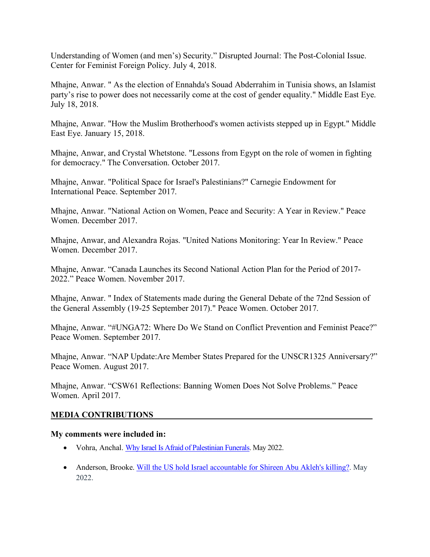Understanding of Women (and men's) Security." Disrupted Journal: The Post-Colonial Issue. Center for Feminist Foreign Policy. July 4, 2018.

Mhajne, Anwar. " As the election of Ennahda's Souad Abderrahim in Tunisia shows, an Islamist party's rise to power does not necessarily come at the cost of gender equality." Middle East Eye. July 18, 2018.

Mhajne, Anwar. "How the Muslim Brotherhood's women activists stepped up in Egypt." Middle East Eye. January 15, 2018.

Mhajne, Anwar, and Crystal Whetstone. "Lessons from Egypt on the role of women in fighting for democracy." The Conversation. October 2017.

Mhajne, Anwar. "Political Space for Israel's Palestinians?" Carnegie Endowment for International Peace. September 2017.

Mhajne, Anwar. "National Action on Women, Peace and Security: A Year in Review." Peace Women. December 2017.

Mhajne, Anwar, and Alexandra Rojas. "United Nations Monitoring: Year In Review." Peace Women. December 2017.

Mhajne, Anwar. "Canada Launches its Second National Action Plan for the Period of 2017- 2022." Peace Women. November 2017.

Mhajne, Anwar. " Index of Statements made during the General Debate of the 72nd Session of the General Assembly (19-25 September 2017)." Peace Women. October 2017.

Mhajne, Anwar. "#UNGA72: Where Do We Stand on Conflict Prevention and Feminist Peace?" Peace Women. September 2017.

Mhajne, Anwar. "NAP Update:Are Member States Prepared for the UNSCR1325 Anniversary?" Peace Women. August 2017.

Mhajne, Anwar. "CSW61 Reflections: Banning Women Does Not Solve Problems." Peace Women. April 2017.

## **MEDIA CONTRIBUTIONS**

### **My comments were included in:**

- Vohra, Anchal. Why Israel Is Afraid of Palestinian Funerals. May 2022.
- Anderson, Brooke. Will the US hold Israel accountable for Shireen Abu Akleh's killing?. May 2022.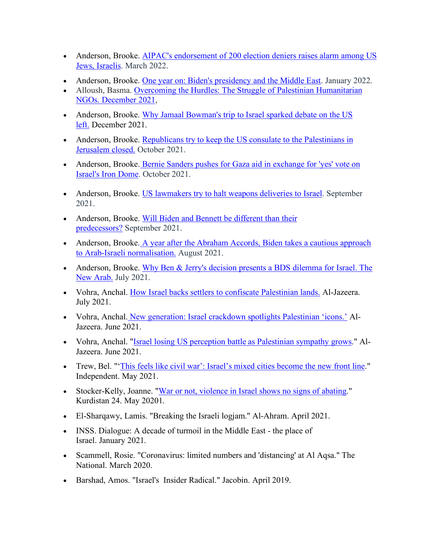- Anderson, Brooke. AIPAC's endorsement of 200 election deniers raises alarm among US Jews, Israelis. March 2022.
- Anderson, Brooke. One year on: Biden's presidency and the Middle East. January 2022.
- Alloush, Basma. Overcoming the Hurdles: The Struggle of Palestinian Humanitarian NGOs. December 2021,
- Anderson, Brooke. Why Jamaal Bowman's trip to Israel sparked debate on the US left. December 2021.
- Anderson, Brooke. Republicans try to keep the US consulate to the Palestinians in Jerusalem closed. October 2021.
- Anderson, Brooke. Bernie Sanders pushes for Gaza aid in exchange for 'yes' vote on Israel's Iron Dome. October 2021.
- Anderson, Brooke. US lawmakers try to halt weapons deliveries to Israel. September 2021.
- Anderson, Brooke. Will Biden and Bennett be different than their predecessors? September 2021.
- Anderson, Brooke. A year after the Abraham Accords, Biden takes a cautious approach to Arab-Israeli normalisation. August 2021.
- Anderson, Brooke. Why Ben & Jerry's decision presents a BDS dilemma for Israel. The New Arab. July 2021.
- Vohra, Anchal. How Israel backs settlers to confiscate Palestinian lands. Al-Jazeera. July 2021.
- Vohra, Anchal. New generation: Israel crackdown spotlights Palestinian 'icons.' Al-Jazeera. June 2021.
- Vohra, Anchal. "Israel losing US perception battle as Palestinian sympathy grows." Al-Jazeera. June 2021.
- Trew, Bel. "'This feels like civil war': Israel's mixed cities become the new front line." Independent. May 2021.
- Stocker-Kelly, Joanne. "War or not, violence in Israel shows no signs of abating." Kurdistan 24. May 20201.
- El-Sharqawy, Lamis. "Breaking the Israeli logjam." Al-Ahram. April 2021.
- INSS. Dialogue: A decade of turmoil in the Middle East the place of Israel. January 2021.
- Scammell, Rosie. "Coronavirus: limited numbers and 'distancing' at Al Aqsa." The National. March 2020.
- Barshad, Amos. "Israel's Insider Radical." Jacobin. April 2019.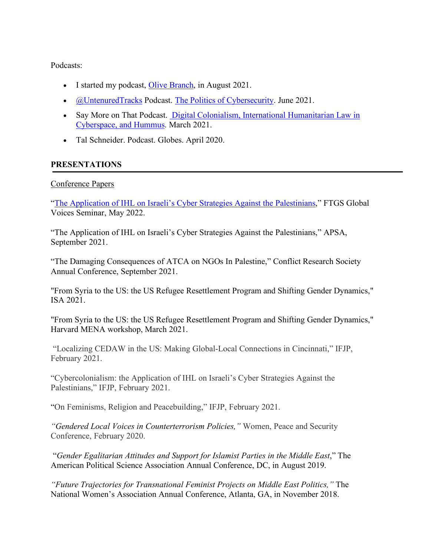Podcasts:

- I started my podcast, Olive Branch, in August 2021.
- *@UntenuredTracks Podcast. The Politics of Cybersecurity. June 2021.*
- Say More on That Podcast. Digital Colonialism, International Humanitarian Law in Cyberspace, and Hummus. March 2021.
- Tal Schneider. Podcast. Globes. April 2020.

# **PRESENTATIONS**

## Conference Papers

"The Application of IHL on Israeli's Cyber Strategies Against the Palestinians," FTGS Global Voices Seminar, May 2022.

"The Application of IHL on Israeli's Cyber Strategies Against the Palestinians," APSA, September 2021.

"The Damaging Consequences of ATCA on NGOs In Palestine," Conflict Research Society Annual Conference, September 2021.

"From Syria to the US: the US Refugee Resettlement Program and Shifting Gender Dynamics," ISA 2021.

"From Syria to the US: the US Refugee Resettlement Program and Shifting Gender Dynamics," Harvard MENA workshop, March 2021.

"Localizing CEDAW in the US: Making Global-Local Connections in Cincinnati," IFJP, February 2021.

"Cybercolonialism: the Application of IHL on Israeli's Cyber Strategies Against the Palestinians," IFJP, February 2021.

"On Feminisms, Religion and Peacebuilding," IFJP, February 2021.

*"Gendered Local Voices in Counterterrorism Policies,"* Women, Peace and Security Conference, February 2020.

"*Gender Egalitarian Attitudes and Support for Islamist Parties in the Middle East*," The American Political Science Association Annual Conference, DC, in August 2019.

*"Future Trajectories for Transnational Feminist Projects on Middle East Politics,"* The National Women's Association Annual Conference, Atlanta, GA, in November 2018.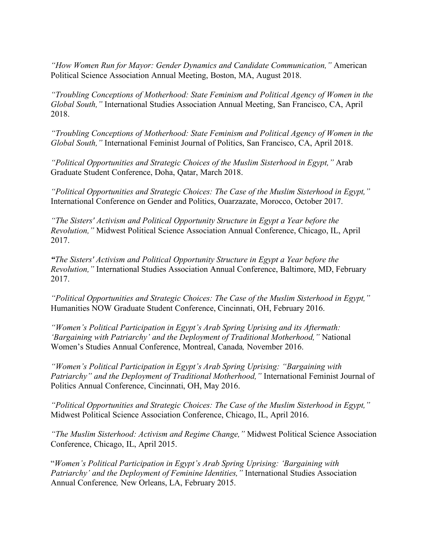*"How Women Run for Mayor: Gender Dynamics and Candidate Communication,"* American Political Science Association Annual Meeting, Boston, MA, August 2018.

*"Troubling Conceptions of Motherhood: State Feminism and Political Agency of Women in the Global South,"* International Studies Association Annual Meeting, San Francisco, CA, April 2018.

*"Troubling Conceptions of Motherhood: State Feminism and Political Agency of Women in the Global South,"* International Feminist Journal of Politics, San Francisco, CA, April 2018.

*"Political Opportunities and Strategic Choices of the Muslim Sisterhood in Egypt,"* Arab Graduate Student Conference, Doha, Qatar, March 2018.

*"Political Opportunities and Strategic Choices: The Case of the Muslim Sisterhood in Egypt,"* International Conference on Gender and Politics, Ouarzazate, Morocco, October 2017.

*"The Sisters' Activism and Political Opportunity Structure in Egypt a Year before the Revolution,"* Midwest Political Science Association Annual Conference, Chicago, IL, April 2017.

*"The Sisters' Activism and Political Opportunity Structure in Egypt a Year before the Revolution,"* International Studies Association Annual Conference, Baltimore, MD, February 2017.

*"Political Opportunities and Strategic Choices: The Case of the Muslim Sisterhood in Egypt,"* Humanities NOW Graduate Student Conference, Cincinnati, OH, February 2016.

*"Women's Political Participation in Egypt's Arab Spring Uprising and its Aftermath: 'Bargaining with Patriarchy' and the Deployment of Traditional Motherhood,"* National Women's Studies Annual Conference, Montreal, Canada*,* November 2016.

*"Women's Political Participation in Egypt's Arab Spring Uprising: "Bargaining with Patriarchy" and the Deployment of Traditional Motherhood,"* International Feminist Journal of Politics Annual Conference, Cincinnati, OH, May 2016.

*"Political Opportunities and Strategic Choices: The Case of the Muslim Sisterhood in Egypt,"*  Midwest Political Science Association Conference, Chicago, IL, April 2016.

*"The Muslim Sisterhood: Activism and Regime Change,"* Midwest Political Science Association Conference, Chicago, IL, April 2015.

"*Women's Political Participation in Egypt's Arab Spring Uprising: 'Bargaining with Patriarchy' and the Deployment of Feminine Identities,"* International Studies Association Annual Conference*,* New Orleans, LA, February 2015.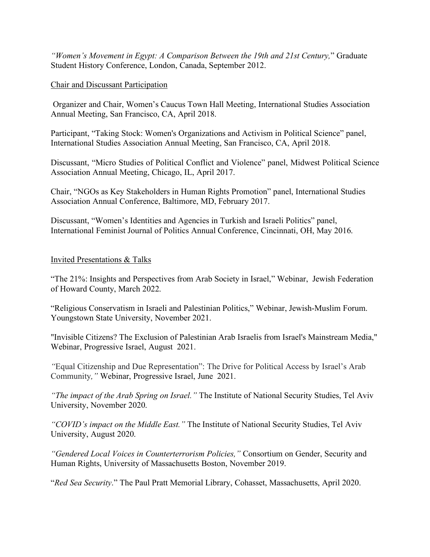*"Women's Movement in Egypt: A Comparison Between the 19th and 21st Century,*" Graduate Student History Conference, London, Canada, September 2012.

## Chair and Discussant Participation

Organizer and Chair, Women's Caucus Town Hall Meeting, International Studies Association Annual Meeting, San Francisco, CA, April 2018.

Participant, "Taking Stock: Women's Organizations and Activism in Political Science" panel, International Studies Association Annual Meeting, San Francisco, CA, April 2018.

Discussant, "Micro Studies of Political Conflict and Violence" panel, Midwest Political Science Association Annual Meeting, Chicago, IL, April 2017.

Chair, "NGOs as Key Stakeholders in Human Rights Promotion" panel, International Studies Association Annual Conference, Baltimore, MD, February 2017.

Discussant, "Women's Identities and Agencies in Turkish and Israeli Politics" panel, International Feminist Journal of Politics Annual Conference, Cincinnati, OH, May 2016.

## Invited Presentations & Talks

"The 21%: Insights and Perspectives from Arab Society in Israel," Webinar, Jewish Federation of Howard County, March 2022.

"Religious Conservatism in Israeli and Palestinian Politics," Webinar, Jewish-Muslim Forum. Youngstown State University, November 2021.

"Invisible Citizens? The Exclusion of Palestinian Arab Israelis from Israel's Mainstream Media," Webinar, Progressive Israel, August 2021.

*"*Equal Citizenship and Due Representation": The Drive for Political Access by Israel's Arab Community*,"* Webinar, Progressive Israel, June 2021.

*"The impact of the Arab Spring on Israel."* The Institute of National Security Studies, Tel Aviv University, November 2020.

*"COVID's impact on the Middle East."* The Institute of National Security Studies, Tel Aviv University, August 2020.

*"Gendered Local Voices in Counterterrorism Policies,"* Consortium on Gender, Security and Human Rights, University of Massachusetts Boston, November 2019.

"*Red Sea Security*." The Paul Pratt Memorial Library, Cohasset, Massachusetts, April 2020.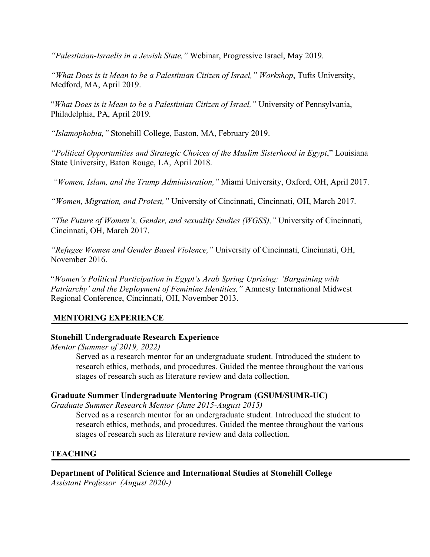*"Palestinian-Israelis in a Jewish State,"* Webinar, Progressive Israel, May 2019.

*"What Does is it Mean to be a Palestinian Citizen of Israel," Workshop*, Tufts University, Medford, MA, April 2019.

"*What Does is it Mean to be a Palestinian Citizen of Israel,"* University of Pennsylvania, Philadelphia, PA, April 2019.

*"Islamophobia,"* Stonehill College, Easton, MA, February 2019.

*"Political Opportunities and Strategic Choices of the Muslim Sisterhood in Egypt*," Louisiana State University, Baton Rouge, LA, April 2018.

*"Women, Islam, and the Trump Administration,"* Miami University, Oxford, OH, April 2017.

*"Women, Migration, and Protest,"* University of Cincinnati, Cincinnati, OH, March 2017.

*"The Future of Women's, Gender, and sexuality Studies (WGSS),"* University of Cincinnati, Cincinnati, OH, March 2017.

*"Refugee Women and Gender Based Violence,"* University of Cincinnati, Cincinnati, OH, November 2016.

"*Women's Political Participation in Egypt's Arab Spring Uprising: 'Bargaining with Patriarchy' and the Deployment of Feminine Identities,"* Amnesty International Midwest Regional Conference, Cincinnati, OH, November 2013.

## **MENTORING EXPERIENCE**

### **Stonehill Undergraduate Research Experience**

*Mentor (Summer of 2019, 2022)*

Served as a research mentor for an undergraduate student. Introduced the student to research ethics, methods, and procedures. Guided the mentee throughout the various stages of research such as literature review and data collection.

### **Graduate Summer Undergraduate Mentoring Program (GSUM/SUMR-UC)**

*Graduate Summer Research Mentor (June 2015-August 2015)*

Served as a research mentor for an undergraduate student. Introduced the student to research ethics, methods, and procedures. Guided the mentee throughout the various stages of research such as literature review and data collection.

## **TEACHING**

# **Department of Political Science and International Studies at Stonehill College**

*Assistant Professor (August 2020-)*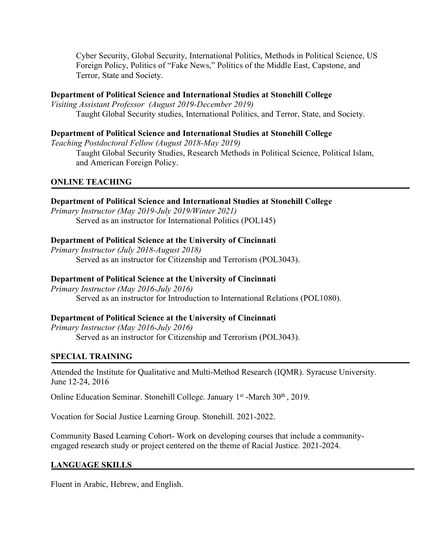Cyber Security, Global Security, International Politics, Methods in Political Science, US Foreign Policy, Politics of "Fake News," Politics of the Middle East, Capstone, and Terror, State and Society.

## **Department of Political Science and International Studies at Stonehill College**

*Visiting Assistant Professor (August 2019-December 2019)* Taught Global Security studies, International Politics, and Terror, State, and Society.

## **Department of Political Science and International Studies at Stonehill College**

*Teaching Postdoctoral Fellow (August 2018-May 2019)*

Taught Global Security Studies, Research Methods in Political Science, Political Islam, and American Foreign Policy.

# **ONLINE TEACHING**

## **Department of Political Science and International Studies at Stonehill College**

*Primary Instructor (May 2019-July 2019/Winter 2021)* Served as an instructor for International Politics (POL145)

## **Department of Political Science at the University of Cincinnati**

*Primary Instructor (July 2018-August 2018)* Served as an instructor for Citizenship and Terrorism (POL3043).

## **Department of Political Science at the University of Cincinnati**

*Primary Instructor (May 2016-July 2016)* Served as an instructor for Introduction to International Relations (POL1080).

## **Department of Political Science at the University of Cincinnati**

*Primary Instructor (May 2016-July 2016)* Served as an instructor for Citizenship and Terrorism (POL3043).

## **SPECIAL TRAINING**

Attended the Institute for Qualitative and Multi-Method Research (IQMR). Syracuse University. June 12-24, 2016

Online Education Seminar. Stonehill College. January 1<sup>st</sup> -March 30<sup>th</sup>, 2019.

Vocation for Social Justice Learning Group. Stonehill. 2021-2022.

Community Based Learning Cohort- Work on developing courses that include a communityengaged research study or project centered on the theme of Racial Justice. 2021-2024.

### **LANGUAGE SKILLS**

Fluent in Arabic, Hebrew, and English.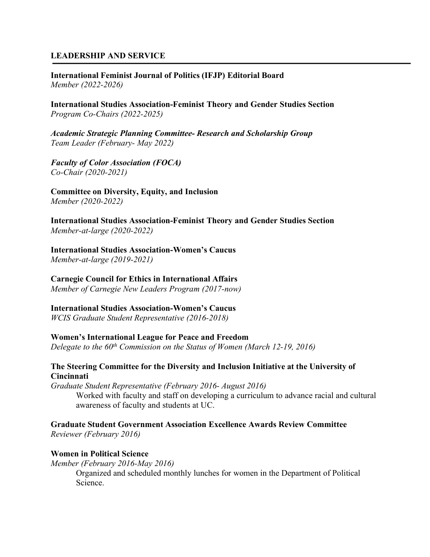## **LEADERSHIP AND SERVICE**

**International Feminist Journal of Politics (IFJP) Editorial Board** *Member (2022-2026)*

**International Studies Association-Feminist Theory and Gender Studies Section** *Program Co-Chairs (2022-2025)*

*Academic Strategic Planning Committee- Research and Scholarship Group Team Leader (February- May 2022)*

*Faculty of Color Association (FOCA) Co-Chair (2020-2021)*

**Committee on Diversity, Equity, and Inclusion**  *Member (2020-2022)*

**International Studies Association-Feminist Theory and Gender Studies Section** *Member-at-large (2020-2022)*

**International Studies Association-Women's Caucus**

*Member-at-large (2019-2021)*

**Carnegie Council for Ethics in International Affairs**

*Member of Carnegie New Leaders Program (2017-now)*

**International Studies Association-Women's Caucus**

*WCIS Graduate Student Representative (2016-2018)*

**Women's International League for Peace and Freedom**

*Delegate to the 60th Commission on the Status of Women (March 12-19, 2016)*

### **The Steering Committee for the Diversity and Inclusion Initiative at the University of Cincinnati**

*Graduate Student Representative (February 2016- August 2016)* Worked with faculty and staff on developing a curriculum to advance racial and cultural awareness of faculty and students at UC.

### **Graduate Student Government Association Excellence Awards Review Committee**

*Reviewer (February 2016)*

### **Women in Political Science**

*Member (February 2016-May 2016)*

Organized and scheduled monthly lunches for women in the Department of Political Science.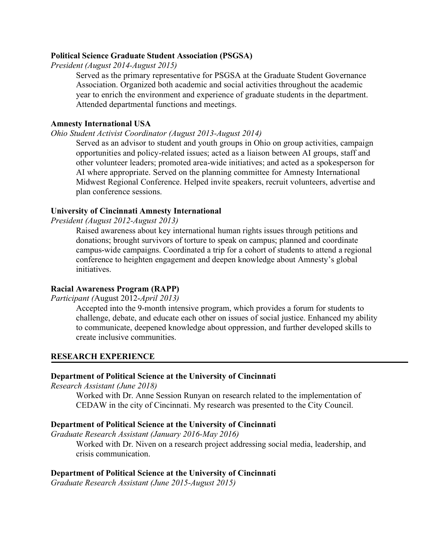### **Political Science Graduate Student Association (PSGSA)**

*President (August 2014-August 2015)*

Served as the primary representative for PSGSA at the Graduate Student Governance Association. Organized both academic and social activities throughout the academic year to enrich the environment and experience of graduate students in the department. Attended departmental functions and meetings.

### **Amnesty International USA**

#### *Ohio Student Activist Coordinator (August 2013-August 2014)*

Served as an advisor to student and youth groups in Ohio on group activities, campaign opportunities and policy-related issues; acted as a liaison between AI groups, staff and other volunteer leaders; promoted area-wide initiatives; and acted as a spokesperson for AI where appropriate. Served on the planning committee for Amnesty International Midwest Regional Conference. Helped invite speakers, recruit volunteers, advertise and plan conference sessions.

### **University of Cincinnati Amnesty International**

*President (August 2012-August 2013)*

Raised awareness about key international human rights issues through petitions and donations; brought survivors of torture to speak on campus; planned and coordinate campus-wide campaigns. Coordinated a trip for a cohort of students to attend a regional conference to heighten engagement and deepen knowledge about Amnesty's global *initiatives* 

### **Racial Awareness Program (RAPP)**

*Participant (*August 2012-*April 2013)*

Accepted into the 9-month intensive program, which provides a forum for students to challenge, debate, and educate each other on issues of social justice. Enhanced my ability to communicate, deepened knowledge about oppression, and further developed skills to create inclusive communities.

### **RESEARCH EXPERIENCE**

## **Department of Political Science at the University of Cincinnati**

*Research Assistant (June 2018)*

Worked with Dr. Anne Session Runyan on research related to the implementation of CEDAW in the city of Cincinnati. My research was presented to the City Council.

#### **Department of Political Science at the University of Cincinnati**

*Graduate Research Assistant (January 2016-May 2016)*

Worked with Dr. Niven on a research project addressing social media, leadership, and crisis communication.

#### **Department of Political Science at the University of Cincinnati**

*Graduate Research Assistant (June 2015-August 2015)*